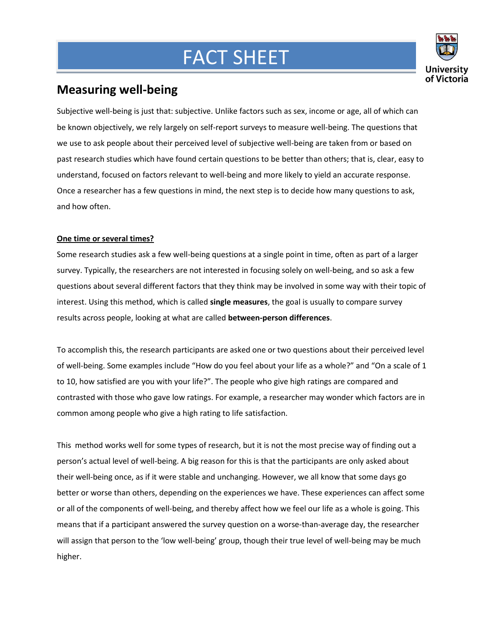## FACT SHEET



## **Measuring well-being**

**Mar**

Subjective well-being is just that: subjective. Unlike factors such as sex, income or age, all of which can be known objectively, we rely largely on self-report surveys to measure well-being. The questions that we use to ask people about their perceived level of subjective well-being are taken from or based on past research studies which have found certain questions to be better than others; that is, clear, easy to understand, focused on factors relevant to well-being and more likely to yield an accurate response. Once a researcher has a few questions in mind, the next step is to decide how many questions to ask, and how often.

## **One time or several times?**

Some research studies ask a few well-being questions at a single point in time, often as part of a larger survey. Typically, the researchers are not interested in focusing solely on well-being, and so ask a few questions about several different factors that they think may be involved in some way with their topic of interest. Using this method, which is called **single measures**, the goal is usually to compare survey results across people, looking at what are called **between-person differences**.

To accomplish this, the research participants are asked one or two questions about their perceived level of well-being. Some examples include "How do you feel about your life as a whole?" and "On a scale of 1 to 10, how satisfied are you with your life?". The people who give high ratings are compared and contrasted with those who gave low ratings. For example, a researcher may wonder which factors are in common among people who give a high rating to life satisfaction.

This method works well for some types of research, but it is not the most precise way of finding out a person's actual level of well-being. A big reason for this is that the participants are only asked about their well-being once, as if it were stable and unchanging. However, we all know that some days go better or worse than others, depending on the experiences we have. These experiences can affect some or all of the components of well-being, and thereby affect how we feel our life as a whole is going. This means that if a participant answered the survey question on a worse-than-average day, the researcher will assign that person to the 'low well-being' group, though their true level of well-being may be much higher.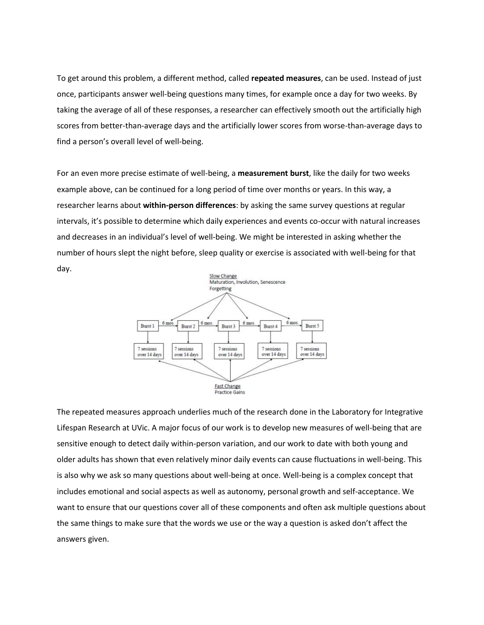To get around this problem, a different method, called **repeated measures**, can be used. Instead of just once, participants answer well-being questions many times, for example once a day for two weeks. By taking the average of all of these responses, a researcher can effectively smooth out the artificially high scores from better-than-average days and the artificially lower scores from worse-than-average days to find a person's overall level of well-being.

For an even more precise estimate of well-being, a **measurement burst**, like the daily for two weeks example above, can be continued for a long period of time over months or years. In this way, a researcher learns about **within-person differences**: by asking the same survey questions at regular intervals, it's possible to determine which daily experiences and events co-occur with natural increases and decreases in an individual's level of well-being. We might be interested in asking whether the number of hours slept the night before, sleep quality or exercise is associated with well-being for that day.



The repeated measures approach underlies much of the research done in the Laboratory for Integrative Lifespan Research at UVic. A major focus of our work is to develop new measures of well-being that are sensitive enough to detect daily within-person variation, and our work to date with both young and older adults has shown that even relatively minor daily events can cause fluctuations in well-being. This is also why we ask so many questions about well-being at once. Well-being is a complex concept that includes emotional and social aspects as well as autonomy, personal growth and self-acceptance. We want to ensure that our questions cover all of these components and often ask multiple questions about the same things to make sure that the words we use or the way a question is asked don't affect the answers given.